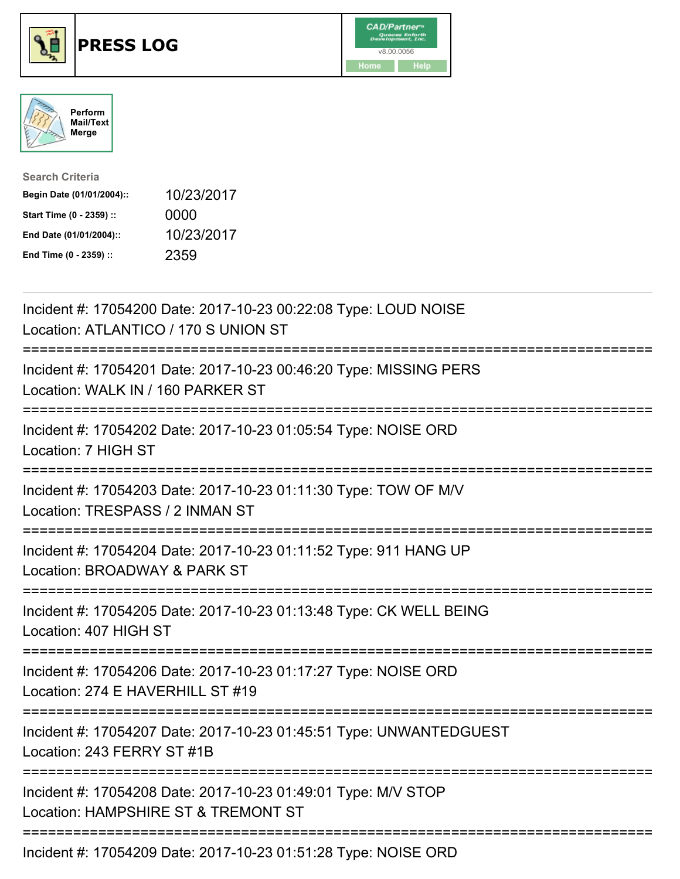





| <b>Search Criteria</b>    |            |
|---------------------------|------------|
| Begin Date (01/01/2004):: | 10/23/2017 |
| Start Time (0 - 2359) ::  | 0000       |
| End Date (01/01/2004)::   | 10/23/2017 |
| End Time (0 - 2359) ::    | 2359       |

| Incident #: 17054200 Date: 2017-10-23 00:22:08 Type: LOUD NOISE<br>Location: ATLANTICO / 170 S UNION ST                                     |
|---------------------------------------------------------------------------------------------------------------------------------------------|
| Incident #: 17054201 Date: 2017-10-23 00:46:20 Type: MISSING PERS<br>Location: WALK IN / 160 PARKER ST                                      |
| Incident #: 17054202 Date: 2017-10-23 01:05:54 Type: NOISE ORD<br>Location: 7 HIGH ST                                                       |
| Incident #: 17054203 Date: 2017-10-23 01:11:30 Type: TOW OF M/V<br>Location: TRESPASS / 2 INMAN ST                                          |
| Incident #: 17054204 Date: 2017-10-23 01:11:52 Type: 911 HANG UP<br>Location: BROADWAY & PARK ST                                            |
| Incident #: 17054205 Date: 2017-10-23 01:13:48 Type: CK WELL BEING<br>Location: 407 HIGH ST                                                 |
| -------------------------------------<br>Incident #: 17054206 Date: 2017-10-23 01:17:27 Type: NOISE ORD<br>Location: 274 E HAVERHILL ST #19 |
| Incident #: 17054207 Date: 2017-10-23 01:45:51 Type: UNWANTEDGUEST<br>Location: 243 FERRY ST #1B                                            |
| Incident #: 17054208 Date: 2017-10-23 01:49:01 Type: M/V STOP<br>Location: HAMPSHIRE ST & TREMONT ST                                        |
| Incident #: 17054209 Date: 2017-10-23 01:51:28 Type: NOISE ORD                                                                              |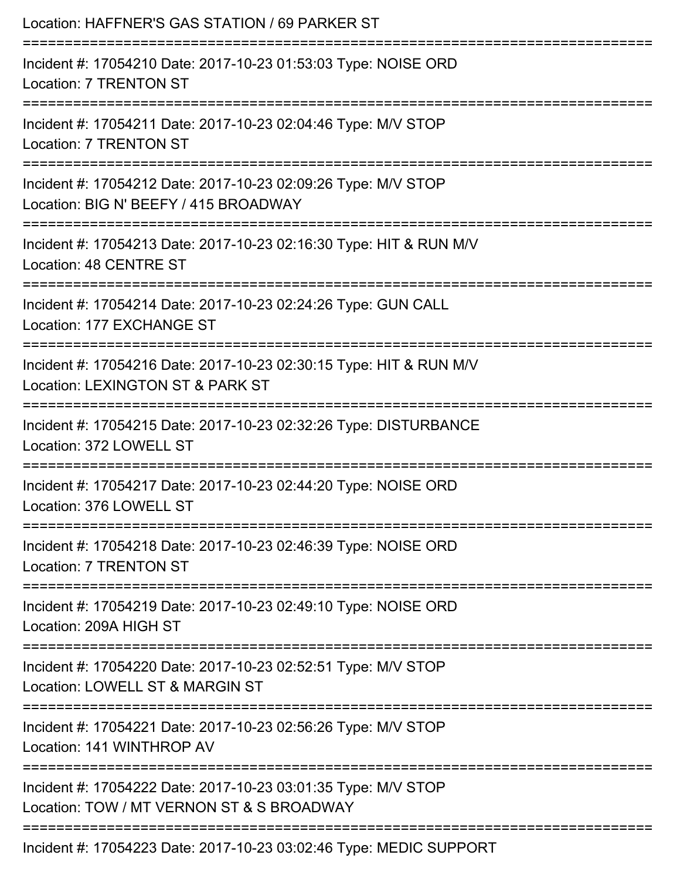| Location: HAFFNER'S GAS STATION / 69 PARKER ST                                                             |
|------------------------------------------------------------------------------------------------------------|
| Incident #: 17054210 Date: 2017-10-23 01:53:03 Type: NOISE ORD<br><b>Location: 7 TRENTON ST</b>            |
| Incident #: 17054211 Date: 2017-10-23 02:04:46 Type: M/V STOP<br><b>Location: 7 TRENTON ST</b>             |
| Incident #: 17054212 Date: 2017-10-23 02:09:26 Type: M/V STOP<br>Location: BIG N' BEEFY / 415 BROADWAY     |
| Incident #: 17054213 Date: 2017-10-23 02:16:30 Type: HIT & RUN M/V<br>Location: 48 CENTRE ST               |
| Incident #: 17054214 Date: 2017-10-23 02:24:26 Type: GUN CALL<br>Location: 177 EXCHANGE ST                 |
| Incident #: 17054216 Date: 2017-10-23 02:30:15 Type: HIT & RUN M/V<br>Location: LEXINGTON ST & PARK ST     |
| Incident #: 17054215 Date: 2017-10-23 02:32:26 Type: DISTURBANCE<br>Location: 372 LOWELL ST                |
| Incident #: 17054217 Date: 2017-10-23 02:44:20 Type: NOISE ORD<br>Location: 376 LOWELL ST                  |
| Incident #: 17054218 Date: 2017-10-23 02:46:39 Type: NOISE ORD<br><b>Location: 7 TRENTON ST</b>            |
| Incident #: 17054219 Date: 2017-10-23 02:49:10 Type: NOISE ORD<br>Location: 209A HIGH ST                   |
| Incident #: 17054220 Date: 2017-10-23 02:52:51 Type: M/V STOP<br>Location: LOWELL ST & MARGIN ST           |
| Incident #: 17054221 Date: 2017-10-23 02:56:26 Type: M/V STOP<br>Location: 141 WINTHROP AV                 |
| Incident #: 17054222 Date: 2017-10-23 03:01:35 Type: M/V STOP<br>Location: TOW / MT VERNON ST & S BROADWAY |
| Incident #: 17054223 Date: 2017-10-23 03:02:46 Type: MEDIC SUPPORT                                         |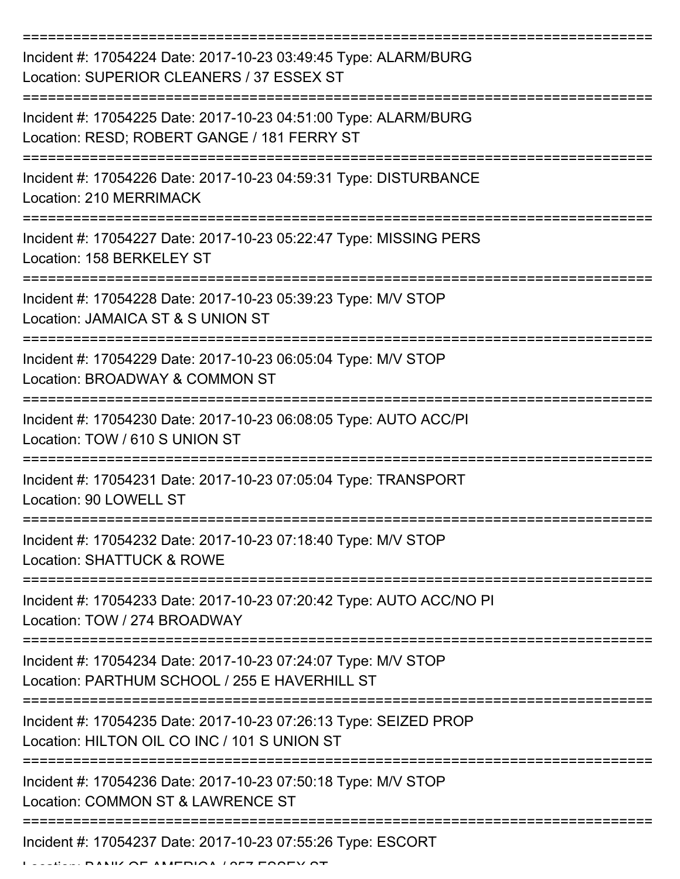| Incident #: 17054224 Date: 2017-10-23 03:49:45 Type: ALARM/BURG<br>Location: SUPERIOR CLEANERS / 37 ESSEX ST     |
|------------------------------------------------------------------------------------------------------------------|
| Incident #: 17054225 Date: 2017-10-23 04:51:00 Type: ALARM/BURG<br>Location: RESD; ROBERT GANGE / 181 FERRY ST   |
| Incident #: 17054226 Date: 2017-10-23 04:59:31 Type: DISTURBANCE<br><b>Location: 210 MERRIMACK</b>               |
| Incident #: 17054227 Date: 2017-10-23 05:22:47 Type: MISSING PERS<br>Location: 158 BERKELEY ST                   |
| Incident #: 17054228 Date: 2017-10-23 05:39:23 Type: M/V STOP<br>Location: JAMAICA ST & S UNION ST               |
| Incident #: 17054229 Date: 2017-10-23 06:05:04 Type: M/V STOP<br>Location: BROADWAY & COMMON ST                  |
| Incident #: 17054230 Date: 2017-10-23 06:08:05 Type: AUTO ACC/PI<br>Location: TOW / 610 S UNION ST               |
| Incident #: 17054231 Date: 2017-10-23 07:05:04 Type: TRANSPORT<br>Location: 90 LOWELL ST                         |
| Incident #: 17054232 Date: 2017-10-23 07:18:40 Type: M/V STOP<br>Location: SHATTUCK & ROWE                       |
| Incident #: 17054233 Date: 2017-10-23 07:20:42 Type: AUTO ACC/NO PI<br>Location: TOW / 274 BROADWAY              |
| Incident #: 17054234 Date: 2017-10-23 07:24:07 Type: M/V STOP<br>Location: PARTHUM SCHOOL / 255 E HAVERHILL ST   |
| Incident #: 17054235 Date: 2017-10-23 07:26:13 Type: SEIZED PROP<br>Location: HILTON OIL CO INC / 101 S UNION ST |
| Incident #: 17054236 Date: 2017-10-23 07:50:18 Type: M/V STOP<br>Location: COMMON ST & LAWRENCE ST               |
| Incident #: 17054237 Date: 2017-10-23 07:55:26 Type: ESCORT                                                      |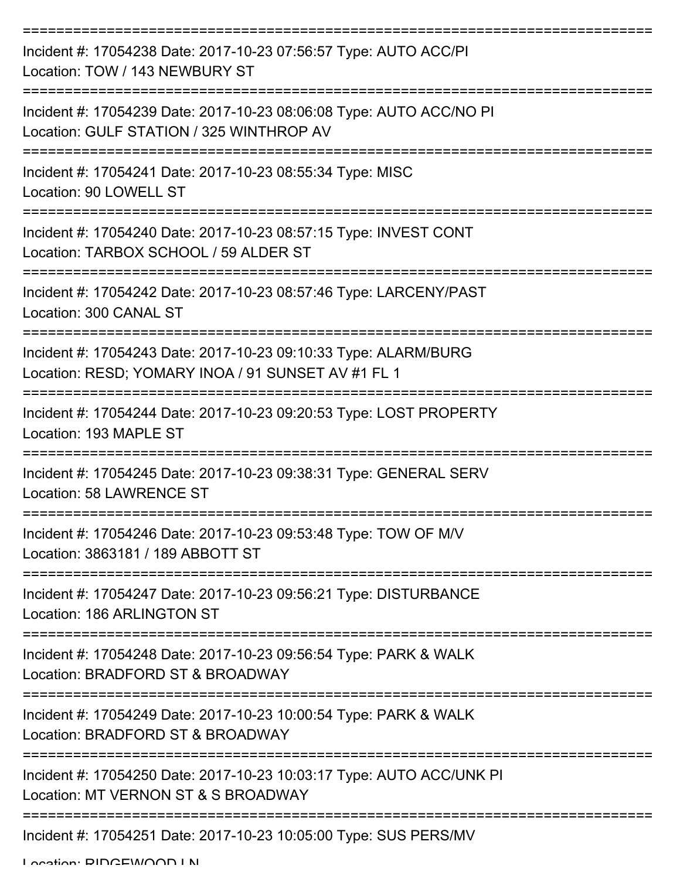| Incident #: 17054238 Date: 2017-10-23 07:56:57 Type: AUTO ACC/PI<br>Location: TOW / 143 NEWBURY ST                    |
|-----------------------------------------------------------------------------------------------------------------------|
| Incident #: 17054239 Date: 2017-10-23 08:06:08 Type: AUTO ACC/NO PI<br>Location: GULF STATION / 325 WINTHROP AV       |
| Incident #: 17054241 Date: 2017-10-23 08:55:34 Type: MISC<br>Location: 90 LOWELL ST                                   |
| Incident #: 17054240 Date: 2017-10-23 08:57:15 Type: INVEST CONT<br>Location: TARBOX SCHOOL / 59 ALDER ST             |
| Incident #: 17054242 Date: 2017-10-23 08:57:46 Type: LARCENY/PAST<br>Location: 300 CANAL ST                           |
| Incident #: 17054243 Date: 2017-10-23 09:10:33 Type: ALARM/BURG<br>Location: RESD; YOMARY INOA / 91 SUNSET AV #1 FL 1 |
| Incident #: 17054244 Date: 2017-10-23 09:20:53 Type: LOST PROPERTY<br>Location: 193 MAPLE ST                          |
| Incident #: 17054245 Date: 2017-10-23 09:38:31 Type: GENERAL SERV<br>Location: 58 LAWRENCE ST                         |
| Incident #: 17054246 Date: 2017-10-23 09:53:48 Type: TOW OF M/V<br>Location: 3863181 / 189 ABBOTT ST                  |
| Incident #: 17054247 Date: 2017-10-23 09:56:21 Type: DISTURBANCE<br>Location: 186 ARLINGTON ST                        |
| Incident #: 17054248 Date: 2017-10-23 09:56:54 Type: PARK & WALK<br>Location: BRADFORD ST & BROADWAY                  |
| Incident #: 17054249 Date: 2017-10-23 10:00:54 Type: PARK & WALK<br>Location: BRADFORD ST & BROADWAY                  |
| Incident #: 17054250 Date: 2017-10-23 10:03:17 Type: AUTO ACC/UNK PI<br>Location: MT VERNON ST & S BROADWAY           |
| Incident #: 17054251 Date: 2017-10-23 10:05:00 Type: SUS PERS/MV                                                      |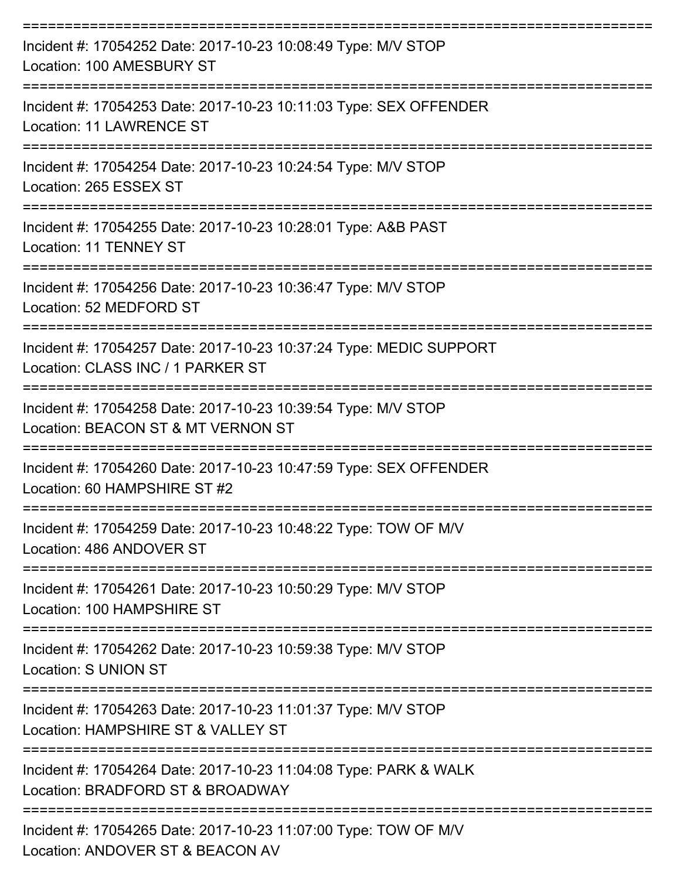| Incident #: 17054252 Date: 2017-10-23 10:08:49 Type: M/V STOP<br>Location: 100 AMESBURY ST<br>--------------------- |
|---------------------------------------------------------------------------------------------------------------------|
| Incident #: 17054253 Date: 2017-10-23 10:11:03 Type: SEX OFFENDER<br>Location: 11 LAWRENCE ST                       |
| Incident #: 17054254 Date: 2017-10-23 10:24:54 Type: M/V STOP<br>Location: 265 ESSEX ST                             |
| Incident #: 17054255 Date: 2017-10-23 10:28:01 Type: A&B PAST<br>Location: 11 TENNEY ST<br>-----------------        |
| Incident #: 17054256 Date: 2017-10-23 10:36:47 Type: M/V STOP<br>Location: 52 MEDFORD ST                            |
| Incident #: 17054257 Date: 2017-10-23 10:37:24 Type: MEDIC SUPPORT<br>Location: CLASS INC / 1 PARKER ST             |
| Incident #: 17054258 Date: 2017-10-23 10:39:54 Type: M/V STOP<br>Location: BEACON ST & MT VERNON ST                 |
| Incident #: 17054260 Date: 2017-10-23 10:47:59 Type: SEX OFFENDER<br>Location: 60 HAMPSHIRE ST #2                   |
| Incident #: 17054259 Date: 2017-10-23 10:48:22 Type: TOW OF M/V<br>Location: 486 ANDOVER ST                         |
| Incident #: 17054261 Date: 2017-10-23 10:50:29 Type: M/V STOP<br>Location: 100 HAMPSHIRE ST                         |
| Incident #: 17054262 Date: 2017-10-23 10:59:38 Type: M/V STOP<br>Location: S UNION ST                               |
| Incident #: 17054263 Date: 2017-10-23 11:01:37 Type: M/V STOP<br>Location: HAMPSHIRE ST & VALLEY ST                 |
| Incident #: 17054264 Date: 2017-10-23 11:04:08 Type: PARK & WALK<br>Location: BRADFORD ST & BROADWAY                |
| Incident #: 17054265 Date: 2017-10-23 11:07:00 Type: TOW OF M/V                                                     |

Location: ANDOVER ST & BEACON AV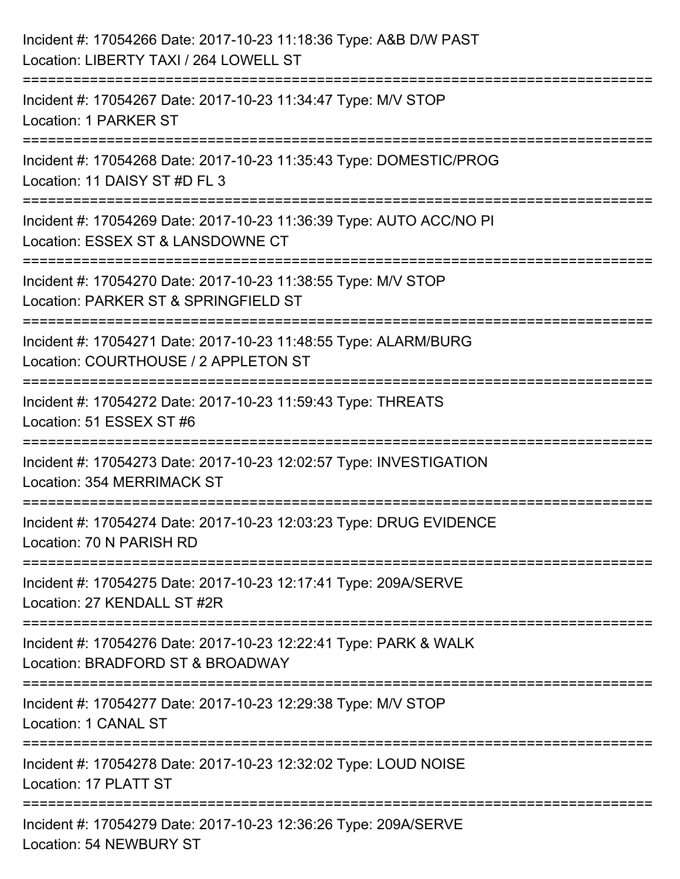| Incident #: 17054266 Date: 2017-10-23 11:18:36 Type: A&B D/W PAST<br>Location: LIBERTY TAXI / 264 LOWELL ST                                  |
|----------------------------------------------------------------------------------------------------------------------------------------------|
| :======================<br>Incident #: 17054267 Date: 2017-10-23 11:34:47 Type: M/V STOP<br>Location: 1 PARKER ST                            |
| Incident #: 17054268 Date: 2017-10-23 11:35:43 Type: DOMESTIC/PROG<br>Location: 11 DAISY ST #D FL 3                                          |
| ================================<br>Incident #: 17054269 Date: 2017-10-23 11:36:39 Type: AUTO ACC/NO PI<br>Location: ESSEX ST & LANSDOWNE CT |
| Incident #: 17054270 Date: 2017-10-23 11:38:55 Type: M/V STOP<br>Location: PARKER ST & SPRINGFIELD ST                                        |
| =================<br>Incident #: 17054271 Date: 2017-10-23 11:48:55 Type: ALARM/BURG<br>Location: COURTHOUSE / 2 APPLETON ST                 |
| Incident #: 17054272 Date: 2017-10-23 11:59:43 Type: THREATS<br>Location: 51 ESSEX ST #6                                                     |
| Incident #: 17054273 Date: 2017-10-23 12:02:57 Type: INVESTIGATION<br><b>Location: 354 MERRIMACK ST</b>                                      |
| Incident #: 17054274 Date: 2017-10-23 12:03:23 Type: DRUG EVIDENCE<br>Location: 70 N PARISH RD                                               |
| Incident #: 17054275 Date: 2017-10-23 12:17:41 Type: 209A/SERVE<br>Location: 27 KENDALL ST #2R                                               |
| Incident #: 17054276 Date: 2017-10-23 12:22:41 Type: PARK & WALK<br>Location: BRADFORD ST & BROADWAY                                         |
| Incident #: 17054277 Date: 2017-10-23 12:29:38 Type: M/V STOP<br>Location: 1 CANAL ST                                                        |
| Incident #: 17054278 Date: 2017-10-23 12:32:02 Type: LOUD NOISE<br>Location: 17 PLATT ST                                                     |
| Incident #: 17054279 Date: 2017-10-23 12:36:26 Type: 209A/SERVE<br>Location: 54 NEWBURY ST                                                   |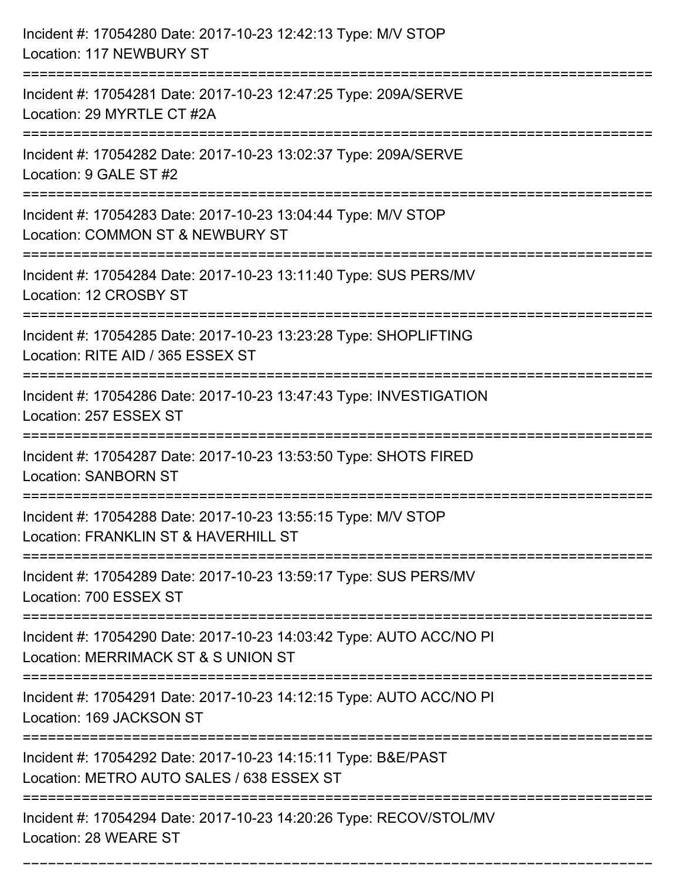| Incident #: 17054280 Date: 2017-10-23 12:42:13 Type: M/V STOP<br>Location: 117 NEWBURY ST                                          |
|------------------------------------------------------------------------------------------------------------------------------------|
| Incident #: 17054281 Date: 2017-10-23 12:47:25 Type: 209A/SERVE<br>Location: 29 MYRTLE CT #2A                                      |
| Incident #: 17054282 Date: 2017-10-23 13:02:37 Type: 209A/SERVE<br>Location: 9 GALE ST #2                                          |
| Incident #: 17054283 Date: 2017-10-23 13:04:44 Type: M/V STOP<br>Location: COMMON ST & NEWBURY ST                                  |
| Incident #: 17054284 Date: 2017-10-23 13:11:40 Type: SUS PERS/MV<br>Location: 12 CROSBY ST                                         |
| Incident #: 17054285 Date: 2017-10-23 13:23:28 Type: SHOPLIFTING<br>Location: RITE AID / 365 ESSEX ST                              |
| Incident #: 17054286 Date: 2017-10-23 13:47:43 Type: INVESTIGATION<br>Location: 257 ESSEX ST                                       |
| Incident #: 17054287 Date: 2017-10-23 13:53:50 Type: SHOTS FIRED<br><b>Location: SANBORN ST</b>                                    |
| Incident #: 17054288 Date: 2017-10-23 13:55:15 Type: M/V STOP<br>Location: FRANKLIN ST & HAVERHILL ST                              |
| Incident #: 17054289 Date: 2017-10-23 13:59:17 Type: SUS PERS/MV<br>Location: 700 ESSEX ST                                         |
| Incident #: 17054290 Date: 2017-10-23 14:03:42 Type: AUTO ACC/NO PI<br>Location: MERRIMACK ST & S UNION ST                         |
| Incident #: 17054291 Date: 2017-10-23 14:12:15 Type: AUTO ACC/NO PI<br>Location: 169 JACKSON ST<br>=============================== |
| Incident #: 17054292 Date: 2017-10-23 14:15:11 Type: B&E/PAST<br>Location: METRO AUTO SALES / 638 ESSEX ST                         |
| Incident #: 17054294 Date: 2017-10-23 14:20:26 Type: RECOV/STOL/MV<br>Location: 28 WEARE ST                                        |

===========================================================================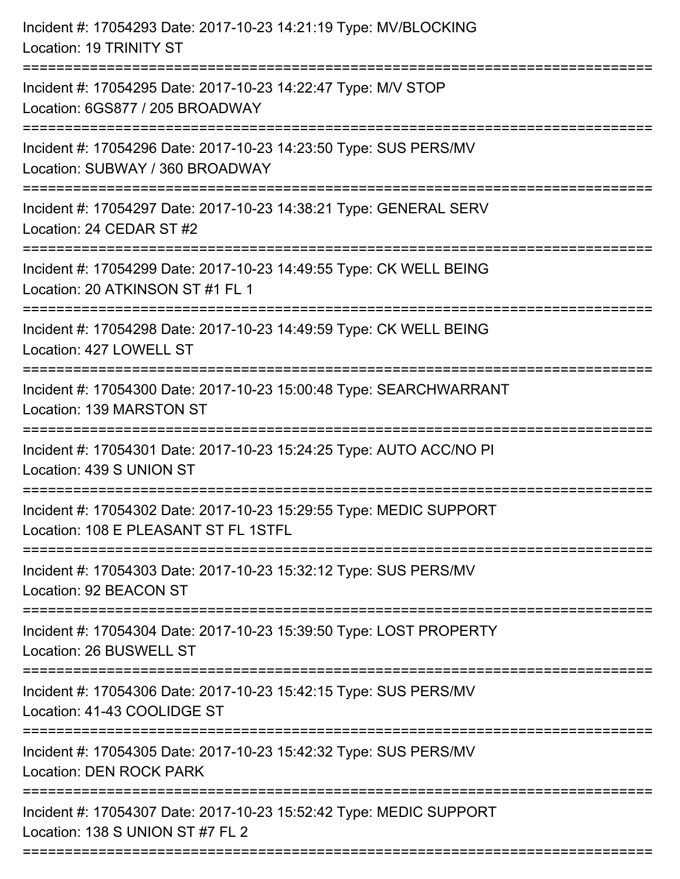| Incident #: 17054293 Date: 2017-10-23 14:21:19 Type: MV/BLOCKING<br>Location: 19 TRINITY ST                |
|------------------------------------------------------------------------------------------------------------|
| Incident #: 17054295 Date: 2017-10-23 14:22:47 Type: M/V STOP<br>Location: 6GS877 / 205 BROADWAY           |
| Incident #: 17054296 Date: 2017-10-23 14:23:50 Type: SUS PERS/MV<br>Location: SUBWAY / 360 BROADWAY        |
| Incident #: 17054297 Date: 2017-10-23 14:38:21 Type: GENERAL SERV<br>Location: 24 CEDAR ST #2              |
| Incident #: 17054299 Date: 2017-10-23 14:49:55 Type: CK WELL BEING<br>Location: 20 ATKINSON ST #1 FL 1     |
| Incident #: 17054298 Date: 2017-10-23 14:49:59 Type: CK WELL BEING<br>Location: 427 LOWELL ST              |
| Incident #: 17054300 Date: 2017-10-23 15:00:48 Type: SEARCHWARRANT<br>Location: 139 MARSTON ST             |
| Incident #: 17054301 Date: 2017-10-23 15:24:25 Type: AUTO ACC/NO PI<br>Location: 439 S UNION ST            |
| Incident #: 17054302 Date: 2017-10-23 15:29:55 Type: MEDIC SUPPORT<br>Location: 108 E PLEASANT ST FL 1STFL |
| Incident #: 17054303 Date: 2017-10-23 15:32:12 Type: SUS PERS/MV<br>Location: 92 BEACON ST                 |
| Incident #: 17054304 Date: 2017-10-23 15:39:50 Type: LOST PROPERTY<br>Location: 26 BUSWELL ST              |
| Incident #: 17054306 Date: 2017-10-23 15:42:15 Type: SUS PERS/MV<br>Location: 41-43 COOLIDGE ST            |
| Incident #: 17054305 Date: 2017-10-23 15:42:32 Type: SUS PERS/MV<br><b>Location: DEN ROCK PARK</b>         |
| Incident #: 17054307 Date: 2017-10-23 15:52:42 Type: MEDIC SUPPORT<br>Location: 138 S UNION ST #7 FL 2     |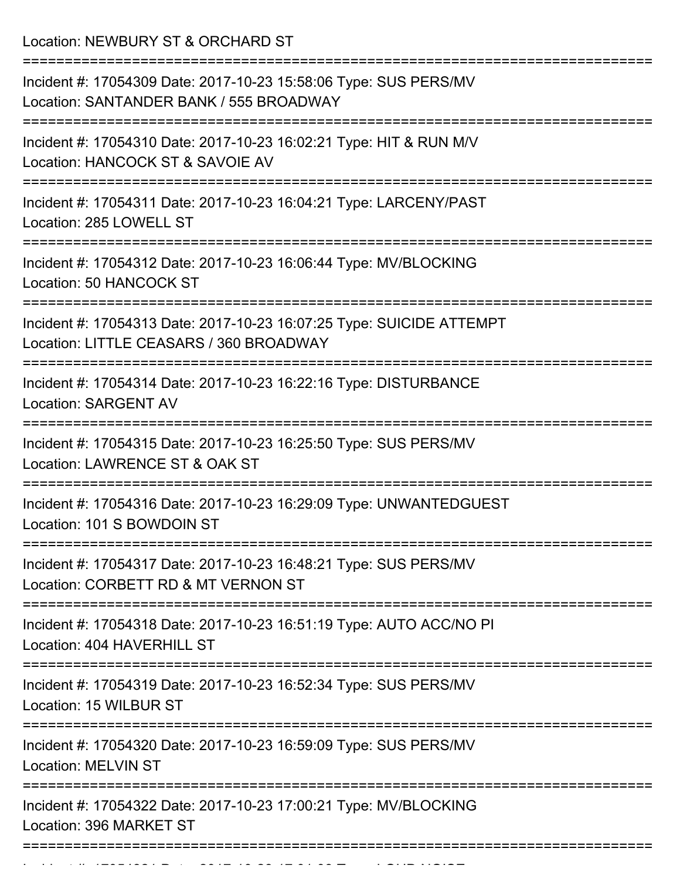Location: NEWBURY ST & ORCHARD ST

| Incident #: 17054309 Date: 2017-10-23 15:58:06 Type: SUS PERS/MV<br>Location: SANTANDER BANK / 555 BROADWAY     |
|-----------------------------------------------------------------------------------------------------------------|
| Incident #: 17054310 Date: 2017-10-23 16:02:21 Type: HIT & RUN M/V<br>Location: HANCOCK ST & SAVOIE AV          |
| Incident #: 17054311 Date: 2017-10-23 16:04:21 Type: LARCENY/PAST<br>Location: 285 LOWELL ST                    |
| Incident #: 17054312 Date: 2017-10-23 16:06:44 Type: MV/BLOCKING<br>Location: 50 HANCOCK ST                     |
| Incident #: 17054313 Date: 2017-10-23 16:07:25 Type: SUICIDE ATTEMPT<br>Location: LITTLE CEASARS / 360 BROADWAY |
| Incident #: 17054314 Date: 2017-10-23 16:22:16 Type: DISTURBANCE<br><b>Location: SARGENT AV</b>                 |
| Incident #: 17054315 Date: 2017-10-23 16:25:50 Type: SUS PERS/MV<br>Location: LAWRENCE ST & OAK ST              |
| Incident #: 17054316 Date: 2017-10-23 16:29:09 Type: UNWANTEDGUEST<br>Location: 101 S BOWDOIN ST                |
| Incident #: 17054317 Date: 2017-10-23 16:48:21 Type: SUS PERS/MV<br>Location: CORBETT RD & MT VERNON ST         |
| Incident #: 17054318 Date: 2017-10-23 16:51:19 Type: AUTO ACC/NO PI<br>Location: 404 HAVERHILL ST               |
| Incident #: 17054319 Date: 2017-10-23 16:52:34 Type: SUS PERS/MV<br>Location: 15 WILBUR ST                      |
| Incident #: 17054320 Date: 2017-10-23 16:59:09 Type: SUS PERS/MV<br><b>Location: MELVIN ST</b>                  |
| Incident #: 17054322 Date: 2017-10-23 17:00:21 Type: MV/BLOCKING<br>Location: 396 MARKET ST                     |
|                                                                                                                 |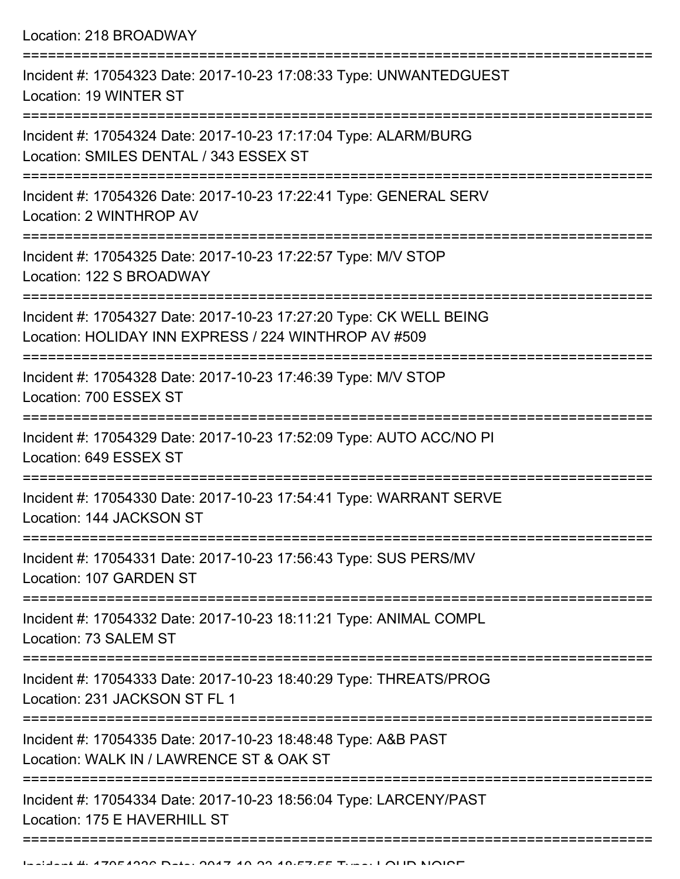Location: 218 BROADWAY =========================================================================== Incident #: 17054323 Date: 2017-10-23 17:08:33 Type: UNWANTEDGUEST Location: 19 WINTER ST =========================================================================== Incident #: 17054324 Date: 2017-10-23 17:17:04 Type: ALARM/BURG Location: SMILES DENTAL / 343 ESSEX ST =========================================================================== Incident #: 17054326 Date: 2017-10-23 17:22:41 Type: GENERAL SERV Location: 2 WINTHROP AV =========================================================================== Incident #: 17054325 Date: 2017-10-23 17:22:57 Type: M/V STOP Location: 122 S BROADWAY =========================================================================== Incident #: 17054327 Date: 2017-10-23 17:27:20 Type: CK WELL BEING Location: HOLIDAY INN EXPRESS / 224 WINTHROP AV #509 =========================================================================== Incident #: 17054328 Date: 2017-10-23 17:46:39 Type: M/V STOP Location: 700 ESSEX ST =========================================================================== Incident #: 17054329 Date: 2017-10-23 17:52:09 Type: AUTO ACC/NO PI Location: 649 ESSEX ST =========================================================================== Incident #: 17054330 Date: 2017-10-23 17:54:41 Type: WARRANT SERVE Location: 144 JACKSON ST =========================================================================== Incident #: 17054331 Date: 2017-10-23 17:56:43 Type: SUS PERS/MV Location: 107 GARDEN ST =========================================================================== Incident #: 17054332 Date: 2017-10-23 18:11:21 Type: ANIMAL COMPL

Location: 73 SALEM ST

===========================================================================

Incident #: 17054333 Date: 2017-10-23 18:40:29 Type: THREATS/PROG Location: 231 JACKSON ST FL 1

===========================================================================

Incident #: 17054335 Date: 2017-10-23 18:48:48 Type: A&B PAST

Location: WALK IN / LAWRENCE ST & OAK ST

===========================================================================

=============================

Incident #: 17054334 Date: 2017-10-23 18:56:04 Type: LARCENY/PAST Location: 175 E HAVERHILL ST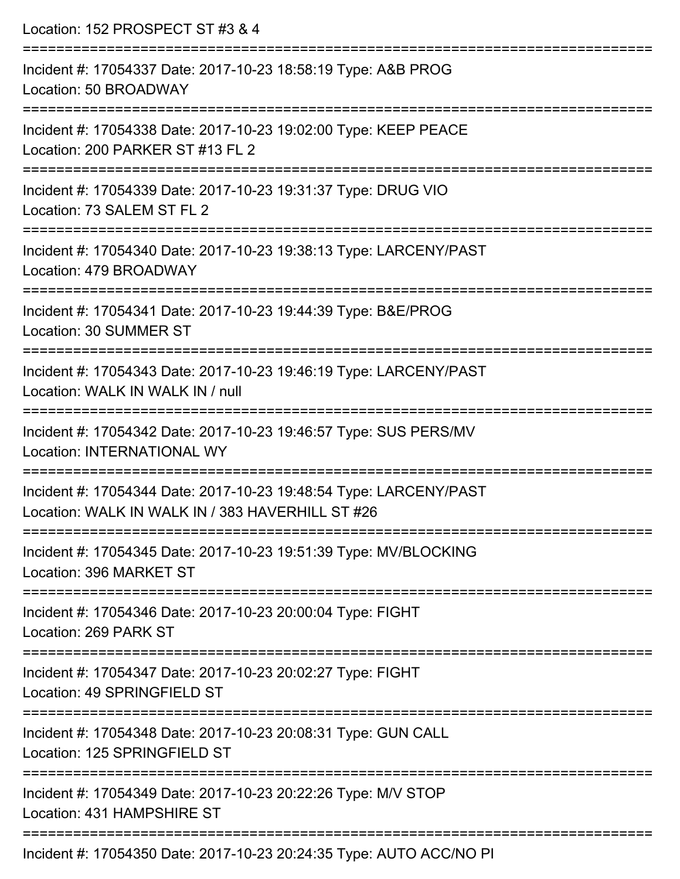| Location: 152 PROSPECT ST #3 & 4                                                                                             |
|------------------------------------------------------------------------------------------------------------------------------|
| Incident #: 17054337 Date: 2017-10-23 18:58:19 Type: A&B PROG<br>Location: 50 BROADWAY<br>;================================= |
| Incident #: 17054338 Date: 2017-10-23 19:02:00 Type: KEEP PEACE<br>Location: 200 PARKER ST #13 FL 2                          |
| Incident #: 17054339 Date: 2017-10-23 19:31:37 Type: DRUG VIO<br>Location: 73 SALEM ST FL 2                                  |
| Incident #: 17054340 Date: 2017-10-23 19:38:13 Type: LARCENY/PAST<br>Location: 479 BROADWAY                                  |
| Incident #: 17054341 Date: 2017-10-23 19:44:39 Type: B&E/PROG<br>Location: 30 SUMMER ST                                      |
| Incident #: 17054343 Date: 2017-10-23 19:46:19 Type: LARCENY/PAST<br>Location: WALK IN WALK IN / null                        |
| Incident #: 17054342 Date: 2017-10-23 19:46:57 Type: SUS PERS/MV<br><b>Location: INTERNATIONAL WY</b>                        |
| Incident #: 17054344 Date: 2017-10-23 19:48:54 Type: LARCENY/PAST<br>Location: WALK IN WALK IN / 383 HAVERHILL ST #26        |
| Incident #: 17054345 Date: 2017-10-23 19:51:39 Type: MV/BLOCKING<br>Location: 396 MARKET ST                                  |
| Incident #: 17054346 Date: 2017-10-23 20:00:04 Type: FIGHT<br>Location: 269 PARK ST                                          |
| Incident #: 17054347 Date: 2017-10-23 20:02:27 Type: FIGHT<br>Location: 49 SPRINGFIELD ST                                    |
| Incident #: 17054348 Date: 2017-10-23 20:08:31 Type: GUN CALL<br>Location: 125 SPRINGFIELD ST                                |
| Incident #: 17054349 Date: 2017-10-23 20:22:26 Type: M/V STOP<br>Location: 431 HAMPSHIRE ST                                  |
| Incident #: 17054350 Date: 2017-10-23 20:24:35 Type: AUTO ACC/NO PI                                                          |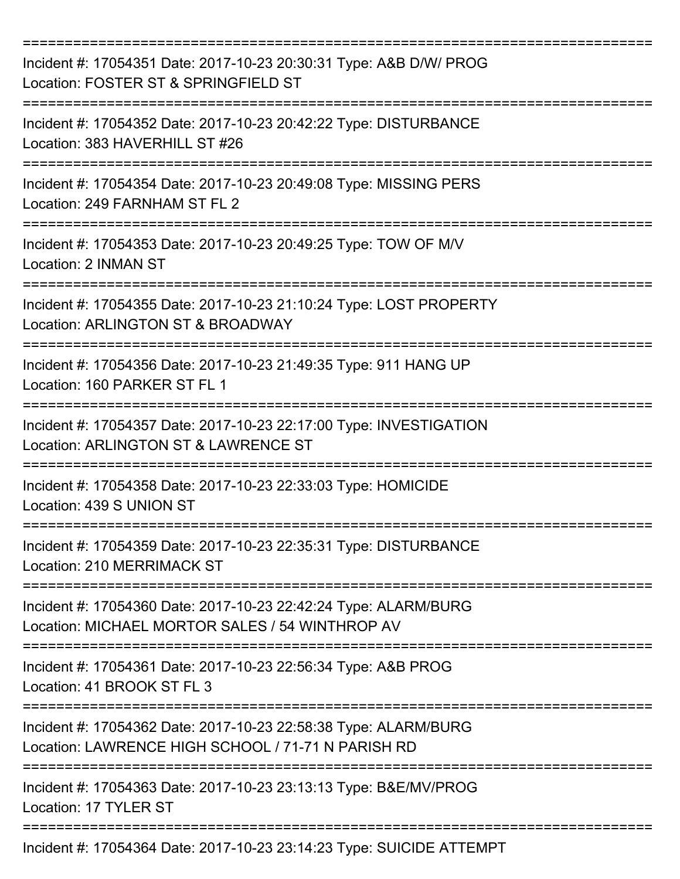| Incident #: 17054351 Date: 2017-10-23 20:30:31 Type: A&B D/W/ PROG<br>Location: FOSTER ST & SPRINGFIELD ST                  |
|-----------------------------------------------------------------------------------------------------------------------------|
| Incident #: 17054352 Date: 2017-10-23 20:42:22 Type: DISTURBANCE<br>Location: 383 HAVERHILL ST #26                          |
| Incident #: 17054354 Date: 2017-10-23 20:49:08 Type: MISSING PERS<br>Location: 249 FARNHAM ST FL 2                          |
| Incident #: 17054353 Date: 2017-10-23 20:49:25 Type: TOW OF M/V<br>Location: 2 INMAN ST                                     |
| Incident #: 17054355 Date: 2017-10-23 21:10:24 Type: LOST PROPERTY<br>Location: ARLINGTON ST & BROADWAY                     |
| Incident #: 17054356 Date: 2017-10-23 21:49:35 Type: 911 HANG UP<br>Location: 160 PARKER ST FL 1                            |
| -------------<br>Incident #: 17054357 Date: 2017-10-23 22:17:00 Type: INVESTIGATION<br>Location: ARLINGTON ST & LAWRENCE ST |
| Incident #: 17054358 Date: 2017-10-23 22:33:03 Type: HOMICIDE<br>Location: 439 S UNION ST                                   |
| Incident #: 17054359 Date: 2017-10-23 22:35:31 Type: DISTURBANCE<br>Location: 210 MERRIMACK ST                              |
| Incident #: 17054360 Date: 2017-10-23 22:42:24 Type: ALARM/BURG<br>Location: MICHAEL MORTOR SALES / 54 WINTHROP AV          |
| Incident #: 17054361 Date: 2017-10-23 22:56:34 Type: A&B PROG<br>Location: 41 BROOK ST FL 3                                 |
| Incident #: 17054362 Date: 2017-10-23 22:58:38 Type: ALARM/BURG<br>Location: LAWRENCE HIGH SCHOOL / 71-71 N PARISH RD       |
| Incident #: 17054363 Date: 2017-10-23 23:13:13 Type: B&E/MV/PROG<br>Location: 17 TYLER ST                                   |
| Incident #: 17054364 Date: 2017-10-23 23:14:23 Type: SUICIDE ATTEMPT                                                        |